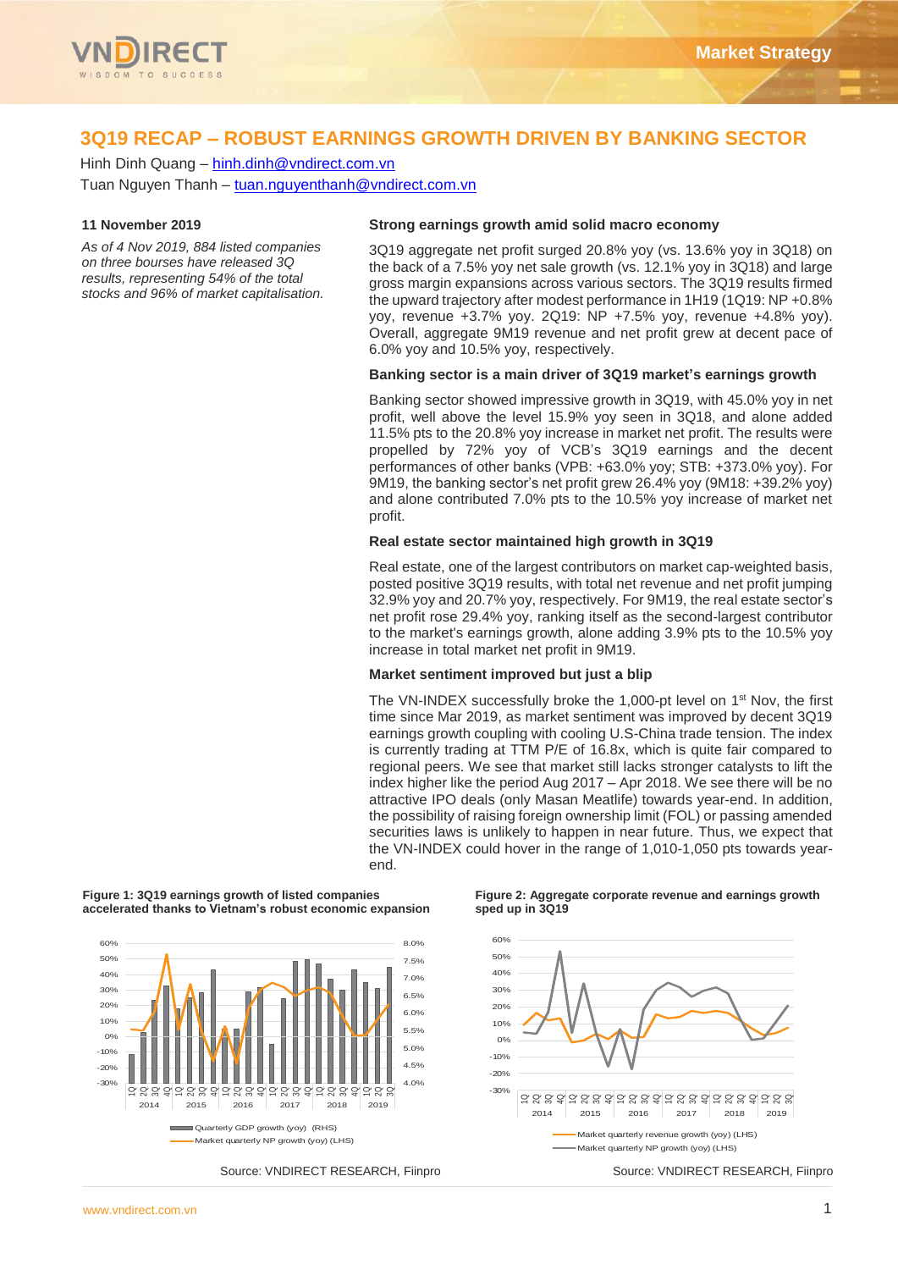

# **3Q19 RECAP – ROBUST EARNINGS GROWTH DRIVEN BY BANKING SECTOR**

Hinh Dinh Quang – [hinh.dinh@vndirect.com.vn](mailto:hinh.dinh@vndirect.com.vn) Tuan Nguyen Thanh – [tuan.nguyenthanh@vndirect.com.vn](mailto:tuan.nguyenthanh@vndirect.com.vn)

## **11 November 2019**

*As of 4 Nov 2019, 884 listed companies on three bourses have released 3Q results, representing 54% of the total stocks and 96% of market capitalisation.*

# **Strong earnings growth amid solid macro economy**

3Q19 aggregate net profit surged 20.8% yoy (vs. 13.6% yoy in 3Q18) on the back of a 7.5% yoy net sale growth (vs. 12.1% yoy in 3Q18) and large gross margin expansions across various sectors. The 3Q19 results firmed the upward trajectory after modest performance in 1H19 (1Q19: NP +0.8% yoy, revenue +3.7% yoy. 2Q19: NP +7.5% yoy, revenue +4.8% yoy). Overall, aggregate 9M19 revenue and net profit grew at decent pace of 6.0% yoy and 10.5% yoy, respectively.

## **Banking sector is a main driver of 3Q19 market's earnings growth**

Banking sector showed impressive growth in 3Q19, with 45.0% yoy in net profit, well above the level 15.9% yoy seen in 3Q18, and alone added 11.5% pts to the 20.8% yoy increase in market net profit. The results were propelled by 72% yoy of VCB's 3Q19 earnings and the decent performances of other banks (VPB: +63.0% yoy; STB: +373.0% yoy). For 9M19, the banking sector's net profit grew 26.4% yoy (9M18: +39.2% yoy) and alone contributed 7.0% pts to the 10.5% yoy increase of market net profit.

#### **Real estate sector maintained high growth in 3Q19**

Real estate, one of the largest contributors on market cap-weighted basis, posted positive 3Q19 results, with total net revenue and net profit jumping 32.9% yoy and 20.7% yoy, respectively. For 9M19, the real estate sector's net profit rose 29.4% yoy, ranking itself as the second-largest contributor to the market's earnings growth, alone adding 3.9% pts to the 10.5% yoy increase in total market net profit in 9M19.

#### **Market sentiment improved but just a blip**

The VN-INDEX successfully broke the 1,000-pt level on 1<sup>st</sup> Nov, the first time since Mar 2019, as market sentiment was improved by decent 3Q19 earnings growth coupling with cooling U.S-China trade tension. The index is currently trading at TTM P/E of 16.8x, which is quite fair compared to regional peers. We see that market still lacks stronger catalysts to lift the index higher like the period Aug 2017 – Apr 2018. We see there will be no attractive IPO deals (only Masan Meatlife) towards year-end. In addition, the possibility of raising foreign ownership limit (FOL) or passing amended securities laws is unlikely to happen in near future. Thus, we expect that the VN-INDEX could hover in the range of 1,010-1,050 pts towards yearend.



**Figure 1: 3Q19 earnings growth of listed companies accelerated thanks to Vietnam's robust economic expansion**

#### **Figure 2: Aggregate corporate revenue and earnings growth sped up in 3Q19**

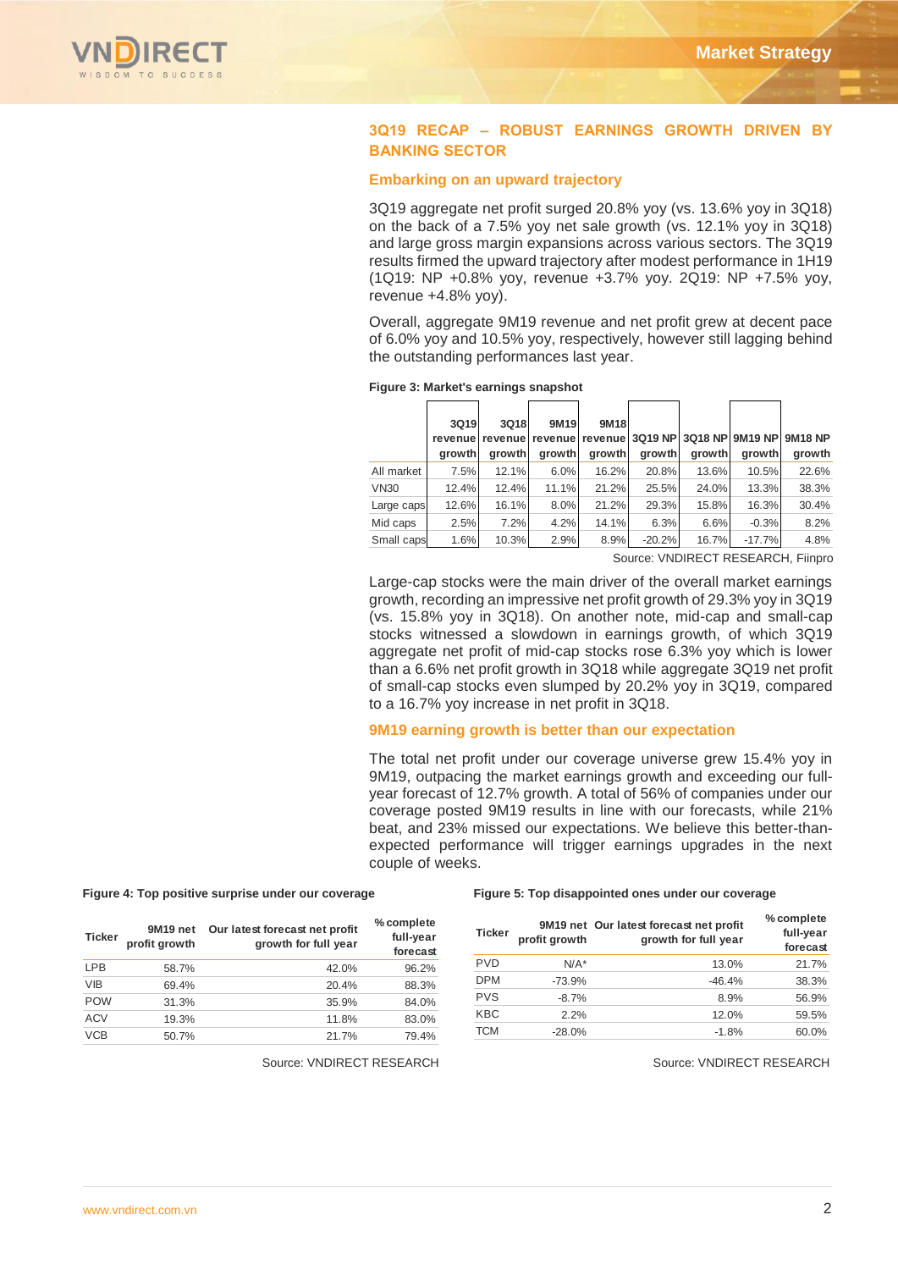

## **3Q19 RECAP – ROBUST EARNINGS GROWTH DRIVEN BY BANKING SECTOR**

## **Embarking on an upward trajectory**

3Q19 aggregate net profit surged 20.8% yoy (vs. 13.6% yoy in 3Q18) on the back of a 7.5% yoy net sale growth (vs. 12.1% yoy in 3Q18) and large gross margin expansions across various sectors. The 3Q19 results firmed the upward trajectory after modest performance in 1H19 (1Q19: NP +0.8% yoy, revenue +3.7% yoy. 2Q19: NP +7.5% yoy, revenue +4.8% yoy).

Overall, aggregate 9M19 revenue and net profit grew at decent pace of 6.0% yoy and 10.5% yoy, respectively, however still lagging behind the outstanding performances last year.

|             | 3Q19<br>arowth | 3Q18<br>arowth | 9M19<br>growth | 9M18<br>growth | growth   | growth | revenuel revenuel revenuel revenuel 3Q19 NPI3Q18 NPI9M19 NPI<br>arowth | <b>9M18 NP</b><br>growth |
|-------------|----------------|----------------|----------------|----------------|----------|--------|------------------------------------------------------------------------|--------------------------|
| All market  | 7.5%           | 12.1%          | 6.0%           | 16.2%          | 20.8%    | 13.6%  | 10.5%                                                                  | 22.6%                    |
| <b>VN30</b> | 12.4%          | 12.4%          | 11.1%          | 21.2%          | 25.5%    | 24.0%  | 13.3%                                                                  | 38.3%                    |
| Large caps  | 12.6%          | 16.1%          | 8.0%           | 21.2%          | 29.3%    | 15.8%  | 16.3%                                                                  | 30.4%                    |
| Mid caps    | 2.5%           | 7.2%           | 4.2%           | 14.1%          | 6.3%     | 6.6%   | $-0.3%$                                                                | 8.2%                     |
| Small caps  | 1.6%           | 10.3%          | 2.9%           | 8.9%           | $-20.2%$ | 16.7%  | $-17.7%$                                                               | 4.8%                     |

# **Figure 3: Market's earnings snapshot**

Source: VNDIRECT RESEARCH, Fiinpro

Large-cap stocks were the main driver of the overall market earnings growth, recording an impressive net profit growth of 29.3% yoy in 3Q19 (vs. 15.8% yoy in 3Q18). On another note, mid-cap and small-cap stocks witnessed a slowdown in earnings growth, of which 3Q19 aggregate net profit of mid-cap stocks rose 6.3% yoy which is lower than a 6.6% net profit growth in 3Q18 while aggregate 3Q19 net profit of small-cap stocks even slumped by 20.2% yoy in 3Q19, compared to a 16.7% yoy increase in net profit in 3Q18.

#### **9M19 earning growth is better than our expectation**

The total net profit under our coverage universe grew 15.4% yoy in 9M19, outpacing the market earnings growth and exceeding our fullyear forecast of 12.7% growth. A total of 56% of companies under our coverage posted 9M19 results in line with our forecasts, while 21% beat, and 23% missed our expectations. We believe this better-thanexpected performance will trigger earnings upgrades in the next couple of weeks.

#### **Figure 4: Top positive surprise under our coverage Figure 5: Top disappointed ones under our coverage**

| <b>Ticker</b> | 9M <sub>19</sub> net<br>profit growth | Our latest forecast net profit<br>growth for full year | % complete<br>full-year<br>forecast |
|---------------|---------------------------------------|--------------------------------------------------------|-------------------------------------|
| <b>LPB</b>    | 58.7%                                 | 42.0%                                                  | 96.2%                               |
| <b>VIB</b>    | 69.4%                                 | 20.4%                                                  | 88.3%                               |
| <b>POW</b>    | 31.3%                                 | 35.9%                                                  | 84.0%                               |
| <b>ACV</b>    | 19.3%                                 | 11.8%                                                  | 83.0%                               |
| <b>VCB</b>    | 50.7%                                 | 21.7%                                                  | 79.4%                               |

| <b>Ticker</b> | profit growth | 9M19 net Our latest forecast net profit<br>growth for full year | % complete<br>full-year<br>forecast |
|---------------|---------------|-----------------------------------------------------------------|-------------------------------------|
| <b>PVD</b>    | $N/A^*$       | 13.0%                                                           | 21.7%                               |
| <b>DPM</b>    | $-73.9%$      | $-46.4%$                                                        | 38.3%                               |
| <b>PVS</b>    | $-8.7%$       | 8.9%                                                            | 56.9%                               |
| <b>KBC</b>    | 2.2%          | 12.0%                                                           | 59.5%                               |
| <b>TCM</b>    | $-28.0%$      | $-1.8%$                                                         | 60.0%                               |

**Source: VNDIRECT RESEARCH Source: VNDIRECT RESEARCH**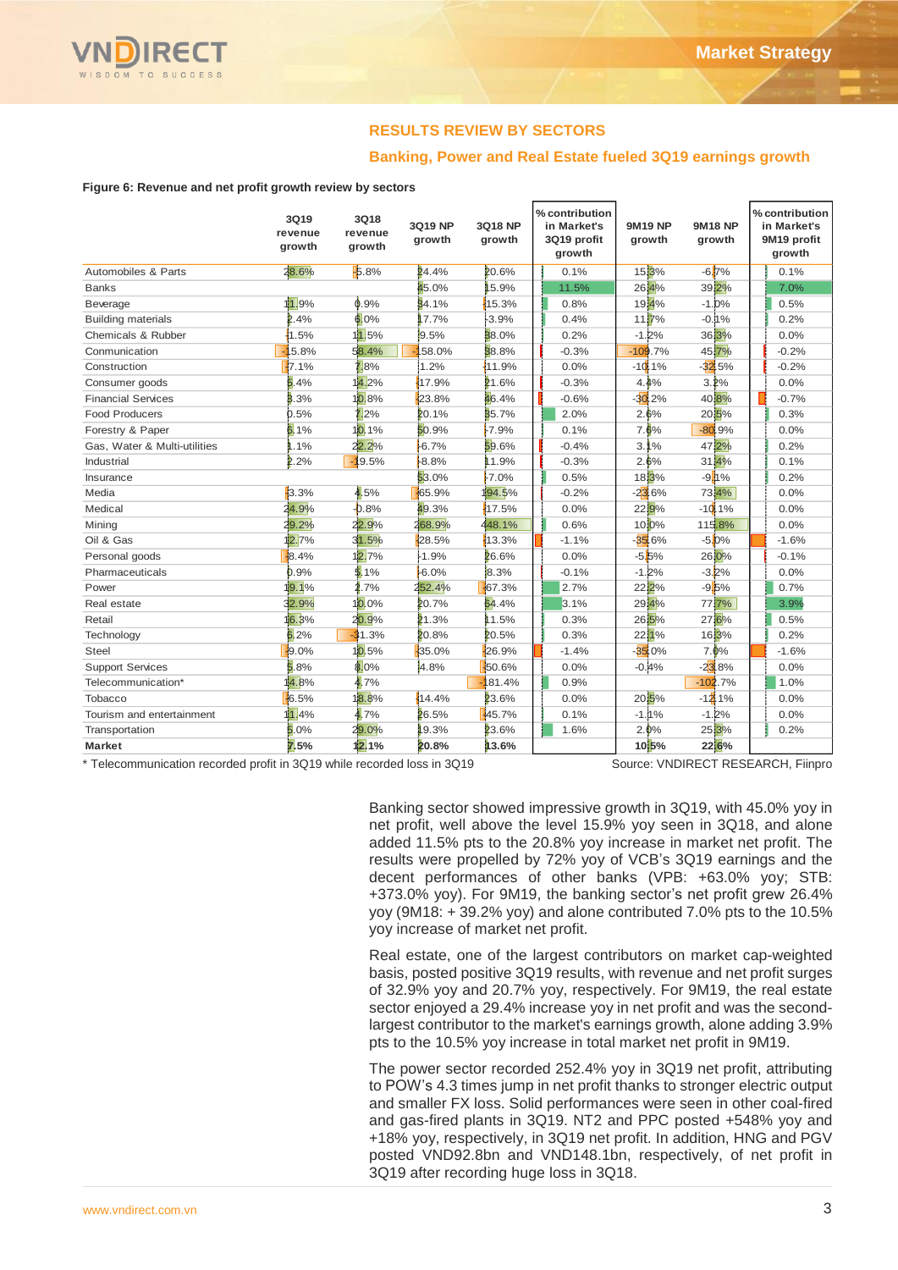

# **RESULTS REVIEW BY SECTORS**

## **Banking, Power and Real Estate fueled 3Q19 earnings growth**

#### **Figure 6: Revenue and net profit growth review by sectors**

|                              | 3Q19<br>revenue<br>growth | 3Q18<br>revenue<br>growth | 3Q19 NP<br>growth | 3Q18 NP<br>growth | % contribution<br>in Market's<br>3Q19 profit<br>growth | <b>9M19 NP</b><br>growth | <b>9M18 NP</b><br>growth | % contribution<br>in Market's<br>9M19 profit<br>growth |
|------------------------------|---------------------------|---------------------------|-------------------|-------------------|--------------------------------------------------------|--------------------------|--------------------------|--------------------------------------------------------|
| Automobiles & Parts          | 28.6%                     | $-5.8%$                   | 24.4%             | 20.6%             | 0.1%                                                   | 15,3%                    | $-6.7%$                  | 0.1%                                                   |
| <b>Banks</b>                 |                           |                           | 45.0%             | 15.9%             | 11.5%                                                  | 26,4%                    | 39.2%                    | 7.0%                                                   |
| Beverage                     | 11.9%                     | 0.9%                      | 84.1%             | 15.3%             | 0.8%                                                   | 19,4%                    | $-1.0%$                  | 0.5%                                                   |
| <b>Building materials</b>    | 2.4%                      | 6.0%                      | 17.7%             | $-3.9%$           | 0.4%                                                   | 1117%                    | $-0.11%$                 | 0.2%                                                   |
| Chemicals & Rubber           | 1.5%                      | 11.5%                     | 9.5%              | 38.0%             | 0.2%                                                   | $-1.2%$                  | 36,3%                    | 0.0%                                                   |
| Conmunication                | 5.8%                      | 58.4%                     | 58.0%             | 38.8%             | $-0.3%$                                                | $-109.7%$                | 45.7%                    | $-0.2%$                                                |
| Construction                 | 7.1%                      | $.8\%$                    | 1.2%              | 11.9%             | 0.0%                                                   | $-10.1%$                 | $-32.5%$                 | $-0.2%$                                                |
| Consumer goods               | 5.4%                      | 14.2%                     | 17.9%             | 21.6%             | $-0.3%$                                                | 4.4%                     | 3.2%                     | 0.0%                                                   |
| <b>Financial Services</b>    | 3.3%                      | 10.8%                     | 23.8%             | 46.4%             | $-0.6%$                                                | $-30.2%$                 | 40,8%                    | $-0.7%$                                                |
| <b>Food Producers</b>        | 0.5%                      | 2%                        | 20.1%             | 35.7%             | 2.0%                                                   | 2.6%                     | 2015%                    | 0.3%                                                   |
| Forestry & Paper             | 5.1%                      | 10.1%                     | 50.9%             | $-7.9%$           | 0.1%                                                   | 7.6%                     | $-80.9%$                 | 0.0%                                                   |
| Gas, Water & Multi-utilities | 1.1%                      | 22.2%                     | 16.7%             | 59.6%             | $-0.4%$                                                | 3.1%                     | 47.2%                    | 0.2%                                                   |
| Industrial                   | 2.2%                      | $-19.5%$                  | 18.8%             | 11.9%             | $-0.3%$                                                | 2.6%                     | 31,4%                    | 0.1%                                                   |
| Insurance                    |                           |                           | 53.0%             | $-7.0%$           | 0.5%                                                   | 183%                     | $-9.1%$                  | 0.2%                                                   |
| Media                        | 3.3%                      | 4.5%                      | -65.9%            | 194.5%            | $-0.2%$                                                | $-23.6%$                 | 73,4%                    | 0.0%                                                   |
| Medical                      | 24.9%                     | $-0.8%$                   | 49.3%             | 17.5%             | 0.0%                                                   | 22.9%                    | $-10.1%$                 | 0.0%                                                   |
| Mining                       | 19.2%                     | 22.9%                     | 268.9%            | 448.1%            | 0.6%                                                   | 10,0%                    | 115.8%                   | 0.0%                                                   |
| Oil & Gas                    | 2.7%                      | 31.5%                     | 28.5%             | 13.3%             | $-1.1%$                                                | $-35.6%$                 | $-5.0%$                  | $-1.6%$                                                |
| Personal goods               | 8.4%                      | 12.7%                     | 1.9%              | 26.6%             | 0.0%                                                   | $-5.5%$                  | 26,0%                    | $-0.1%$                                                |
| Pharmaceuticals              | 0.9%                      | 5.1%                      | 16.0%             | 8.3%              | $-0.1%$                                                | $-1.2%$                  | $-3.2%$                  | 0.0%                                                   |
| Power                        | 19.1%                     | .7%                       | 252.4%            | -67.3%            | 2.7%                                                   | 22,2%                    | $-9.5%$                  | 0.7%                                                   |
| Real estate                  | 32.9%                     | $10.0\%$                  | 20.7%             | 64.4%             | 3.1%                                                   | 29.4%                    | 77,7%                    | 3.9%                                                   |
| Retail                       | 16.3%                     | 20.9%                     | 21.3%             | 11.5%             | 0.3%                                                   | 26,5%                    | 27,6%                    | 0.5%                                                   |
| Technology                   | 5.2%                      | 31.3%                     | 20.8%             | 20.5%             | 0.3%                                                   | 2211%                    | 16,3%                    | 0.2%                                                   |
| <b>Steel</b>                 | 49.0%                     | 10.5%                     | 35.0%             | 126.9%            | $-1.4%$                                                | $-35.0%$                 | 7.0%                     | $-1.6%$                                                |
| <b>Support Services</b>      | 5.8%                      | 8.0%                      | 4.8%              | 50.6%             | 0.0%                                                   | $-0.4%$                  | $-23.8%$                 | 0.0%                                                   |
| Telecommunication*           | 14.8%                     | 1.7%                      |                   | 81.4%             | 0.9%                                                   |                          | $-102.7%$                | 1.0%                                                   |
| Tobacco                      | 6.5%                      | 18.8%                     | 14.4%             | 23.6%             | 0.0%                                                   | 20.5%                    | $-1211%$                 | 0.0%                                                   |
| Tourism and entertainment    | 1.4%                      | 4.7%                      | 26.5%             | 45.7%             | 0.1%                                                   | $-1.1\%$                 | $-1.2%$                  | 0.0%                                                   |
| Transportation               | .0%                       | 29.0%                     | 19.3%             | 23.6%             | 1.6%                                                   | 2.0%                     | 25,3%                    | 0.2%                                                   |
| <b>Market</b>                | 7.5%                      | 12.1%                     | 20.8%             | 13.6%             |                                                        | 10 5%                    | 22,6%                    |                                                        |

\* Telecommunication recorded profit in 3Q19 while recorded loss in 3Q19 Source: VNDIRECT RESEARCH, Fiinpro

Banking sector showed impressive growth in 3Q19, with 45.0% yoy in net profit, well above the level 15.9% yoy seen in 3Q18, and alone added 11.5% pts to the 20.8% yoy increase in market net profit. The results were propelled by 72% yoy of VCB's 3Q19 earnings and the decent performances of other banks (VPB: +63.0% yoy; STB: +373.0% yoy). For 9M19, the banking sector's net profit grew 26.4% yoy (9M18: + 39.2% yoy) and alone contributed 7.0% pts to the 10.5% yoy increase of market net profit.

Real estate, one of the largest contributors on market cap-weighted basis, posted positive 3Q19 results, with revenue and net profit surges of 32.9% yoy and 20.7% yoy, respectively. For 9M19, the real estate sector enjoyed a 29.4% increase yoy in net profit and was the secondlargest contributor to the market's earnings growth, alone adding 3.9% pts to the 10.5% yoy increase in total market net profit in 9M19.

The power sector recorded 252.4% yoy in 3Q19 net profit, attributing to POW's 4.3 times jump in net profit thanks to stronger electric output and smaller FX loss. Solid performances were seen in other coal-fired and gas-fired plants in 3Q19. NT2 and PPC posted +548% yoy and +18% yoy, respectively, in 3Q19 net profit. In addition, HNG and PGV posted VND92.8bn and VND148.1bn, respectively, of net profit in 3Q19 after recording huge loss in 3Q18.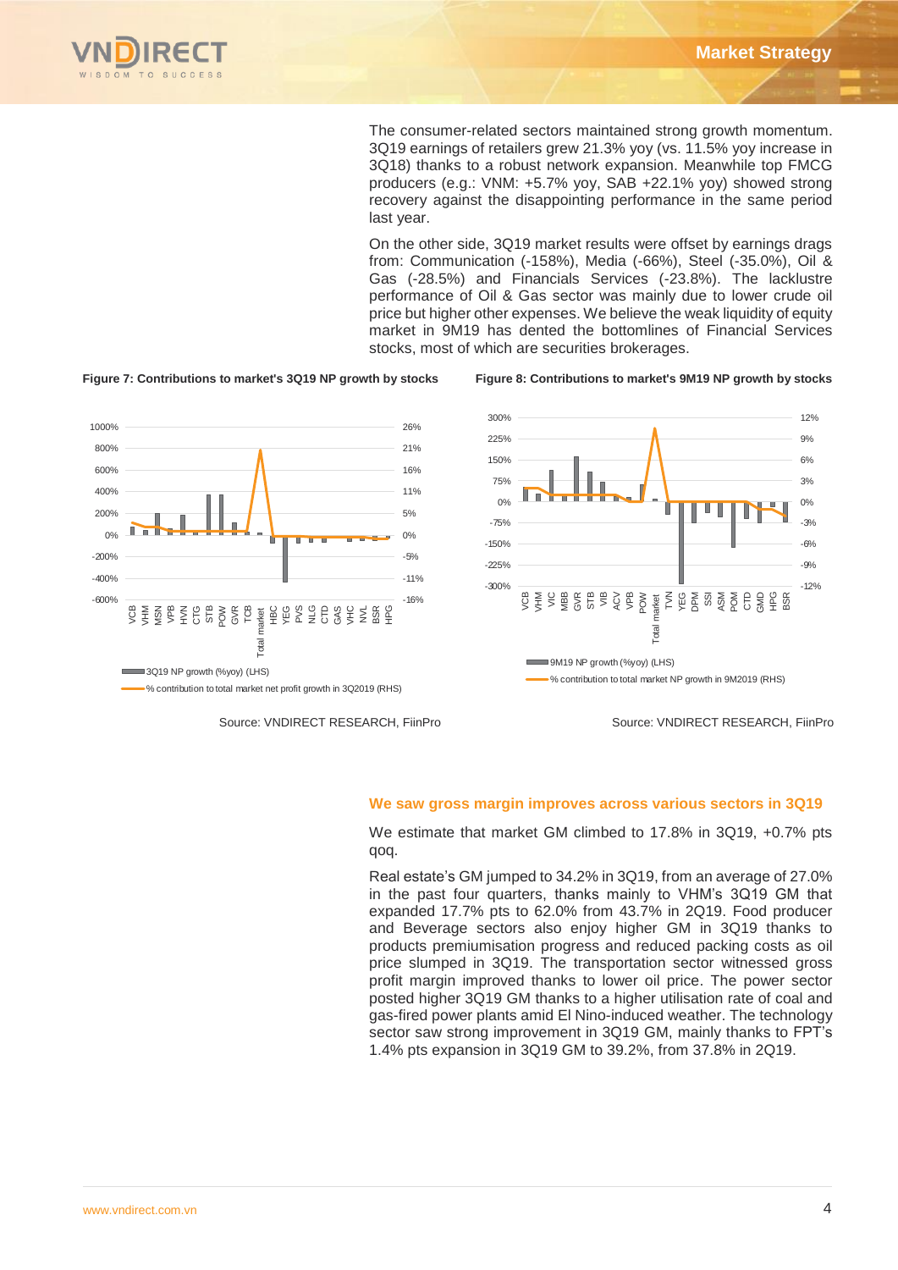

-600%  $-400%$ -200% 0% 200% 400% 600% 800% 1000%

The consumer-related sectors maintained strong growth momentum. 3Q19 earnings of retailers grew 21.3% yoy (vs. 11.5% yoy increase in 3Q18) thanks to a robust network expansion. Meanwhile top FMCG producers (e.g.: VNM: +5.7% yoy, SAB +22.1% yoy) showed strong recovery against the disappointing performance in the same period last year.

On the other side, 3Q19 market results were offset by earnings drags from: Communication (-158%), Media (-66%), Steel (-35.0%), Oil & Gas (-28.5%) and Financials Services (-23.8%). The lacklustre performance of Oil & Gas sector was mainly due to lower crude oil price but higher other expenses. We believe the weak liquidity of equity market in 9M19 has dented the bottomlines of Financial Services stocks, most of which are securities brokerages.



**Figure 7: Contributions to market's 3Q19 NP growth by stocks Figure 8: Contributions to market's 9M19 NP growth by stocks**



Source: VNDIRECT RESEARCH, FiinPro

Source: VNDIRECT RESEARCH, FiinPro

#### **We saw gross margin improves across various sectors in 3Q19**

We estimate that market GM climbed to 17.8% in 3Q19, +0.7% pts qoq.

Real estate's GM jumped to 34.2% in 3Q19, from an average of 27.0% in the past four quarters, thanks mainly to VHM's 3Q19 GM that expanded 17.7% pts to 62.0% from 43.7% in 2Q19. Food producer and Beverage sectors also enjoy higher GM in 3Q19 thanks to products premiumisation progress and reduced packing costs as oil price slumped in 3Q19. The transportation sector witnessed gross profit margin improved thanks to lower oil price. The power sector posted higher 3Q19 GM thanks to a higher utilisation rate of coal and gas-fired power plants amid El Nino-induced weather. The technology sector saw strong improvement in 3Q19 GM, mainly thanks to FPT's 1.4% pts expansion in 3Q19 GM to 39.2%, from 37.8% in 2Q19.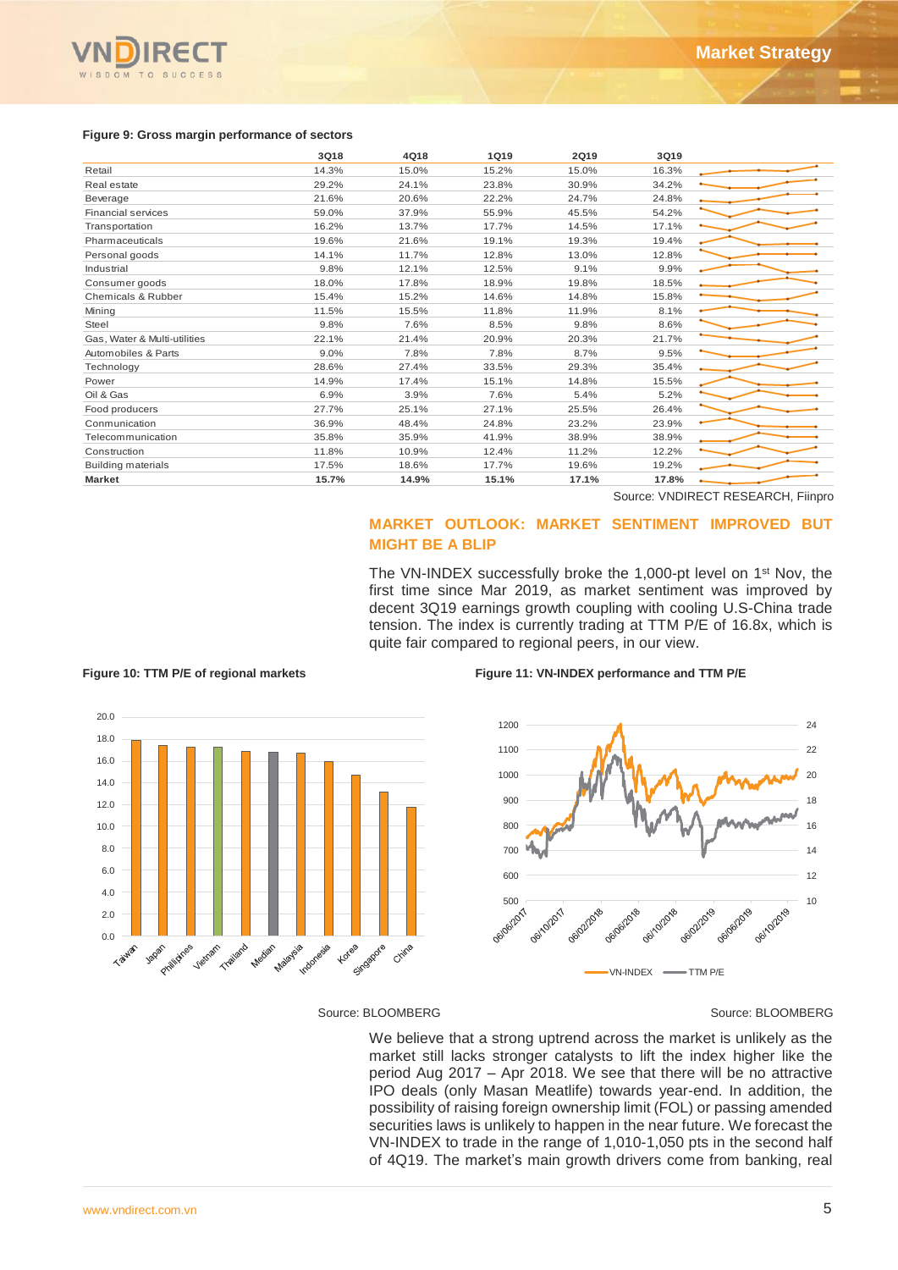

#### **Figure 9: Gross margin performance of sectors**

|                                                                                                                               | 3Q18               | 4Q18                                                | <b>1Q19</b>                                   | 2Q19                                        | 3Q19           |                                                                                                                                                                                                                                                                                                                                                                                                                                                                                                                                                                                                    |
|-------------------------------------------------------------------------------------------------------------------------------|--------------------|-----------------------------------------------------|-----------------------------------------------|---------------------------------------------|----------------|----------------------------------------------------------------------------------------------------------------------------------------------------------------------------------------------------------------------------------------------------------------------------------------------------------------------------------------------------------------------------------------------------------------------------------------------------------------------------------------------------------------------------------------------------------------------------------------------------|
| Retail                                                                                                                        | 14.3%              | 15.0%                                               | 15.2%                                         | 15.0%                                       | 16.3%          |                                                                                                                                                                                                                                                                                                                                                                                                                                                                                                                                                                                                    |
| Real estate                                                                                                                   | 29.2%              | 24.1%                                               | 23.8%                                         | 30.9%                                       | 34.2%          |                                                                                                                                                                                                                                                                                                                                                                                                                                                                                                                                                                                                    |
| Beverage                                                                                                                      | 21.6%              | 20.6%                                               | 22.2%                                         | 24.7%                                       | 24.8%          |                                                                                                                                                                                                                                                                                                                                                                                                                                                                                                                                                                                                    |
| <b>Financial services</b>                                                                                                     | 59.0%              | 37.9%                                               | 55.9%                                         | 45.5%                                       | 54.2%          |                                                                                                                                                                                                                                                                                                                                                                                                                                                                                                                                                                                                    |
| Transportation<br>Pharmaceuticals                                                                                             | 16.2%<br>19.6%     | 13.7%<br>21.6%                                      | 17.7%<br>19.1%                                | 14.5%<br>19.3%                              | 17.1%<br>19.4% |                                                                                                                                                                                                                                                                                                                                                                                                                                                                                                                                                                                                    |
| Personal goods                                                                                                                | 14.1%              | 11.7%                                               | 12.8%                                         | 13.0%                                       | 12.8%          |                                                                                                                                                                                                                                                                                                                                                                                                                                                                                                                                                                                                    |
| Industrial                                                                                                                    | 9.8%               | 12.1%                                               | 12.5%                                         | 9.1%                                        | 9.9%           |                                                                                                                                                                                                                                                                                                                                                                                                                                                                                                                                                                                                    |
| Consumer goods                                                                                                                | 18.0%              | 17.8%                                               | 18.9%                                         | 19.8%                                       | 18.5%          |                                                                                                                                                                                                                                                                                                                                                                                                                                                                                                                                                                                                    |
| Chemicals & Rubber                                                                                                            | 15.4%              | 15.2%                                               | 14.6%                                         | 14.8%                                       | 15.8%          |                                                                                                                                                                                                                                                                                                                                                                                                                                                                                                                                                                                                    |
| Mining                                                                                                                        | 11.5%              | 15.5%                                               | 11.8%                                         | 11.9%                                       | 8.1%           |                                                                                                                                                                                                                                                                                                                                                                                                                                                                                                                                                                                                    |
| Steel                                                                                                                         | 9.8%               | 7.6%                                                | 8.5%                                          | 9.8%                                        | 8.6%           |                                                                                                                                                                                                                                                                                                                                                                                                                                                                                                                                                                                                    |
| Gas, Water & Multi-utilities                                                                                                  | 22.1%              | 21.4%                                               | 20.9%                                         | 20.3%                                       | 21.7%          |                                                                                                                                                                                                                                                                                                                                                                                                                                                                                                                                                                                                    |
| Automobiles & Parts                                                                                                           | 9.0%<br>28.6%      | 7.8%                                                | 7.8%                                          | 8.7%                                        | 9.5%<br>35.4%  |                                                                                                                                                                                                                                                                                                                                                                                                                                                                                                                                                                                                    |
| Technology<br>Power                                                                                                           | 14.9%              | 27.4%<br>17.4%                                      | 33.5%<br>15.1%                                | 29.3%<br>14.8%                              | 15.5%          |                                                                                                                                                                                                                                                                                                                                                                                                                                                                                                                                                                                                    |
| Oil & Gas                                                                                                                     | 6.9%               | 3.9%                                                | 7.6%                                          | 5.4%                                        | 5.2%           |                                                                                                                                                                                                                                                                                                                                                                                                                                                                                                                                                                                                    |
| Food producers                                                                                                                | 27.7%              | 25.1%                                               | 27.1%                                         | 25.5%                                       | 26.4%          |                                                                                                                                                                                                                                                                                                                                                                                                                                                                                                                                                                                                    |
| Conmunication                                                                                                                 | 36.9%              | 48.4%                                               | 24.8%                                         | 23.2%                                       | 23.9%          |                                                                                                                                                                                                                                                                                                                                                                                                                                                                                                                                                                                                    |
| Telecommunication                                                                                                             | 35.8%              | 35.9%                                               | 41.9%                                         | 38.9%                                       | 38.9%          |                                                                                                                                                                                                                                                                                                                                                                                                                                                                                                                                                                                                    |
| Construction                                                                                                                  | 11.8%              | 10.9%                                               | 12.4%                                         | 11.2%                                       | 12.2%          |                                                                                                                                                                                                                                                                                                                                                                                                                                                                                                                                                                                                    |
| <b>Building materials</b>                                                                                                     | 17.5%              | 18.6%                                               | 17.7%                                         | 19.6%                                       | 19.2%          |                                                                                                                                                                                                                                                                                                                                                                                                                                                                                                                                                                                                    |
| <b>Market</b>                                                                                                                 | 15.7%              | 14.9%                                               | 15.1%                                         | 17.1%                                       | 17.8%          |                                                                                                                                                                                                                                                                                                                                                                                                                                                                                                                                                                                                    |
|                                                                                                                               |                    |                                                     |                                               |                                             |                | Source: VNDIRECT RESEARCH, Fiinpro                                                                                                                                                                                                                                                                                                                                                                                                                                                                                                                                                                 |
|                                                                                                                               |                    | <b>MIGHT BE A BLIP</b>                              |                                               |                                             |                | <b>MARKET OUTLOOK: MARKET SENTIMENT IMPROVED</b><br><b>BUT</b><br>The VN-INDEX successfully broke the 1,000-pt level on 1 <sup>st</sup> Nov, the                                                                                                                                                                                                                                                                                                                                                                                                                                                   |
| Figure 10: TTM P/E of regional markets<br>20.0<br>18.0<br>16.0<br>14.0                                                        |                    | quite fair compared to regional peers, in our view. | 1200<br>1100<br>1000                          | Figure 11: VN-INDEX performance and TTM P/E |                | tension. The index is currently trading at TTM P/E of 16.8x, which is<br>24<br>22<br>20                                                                                                                                                                                                                                                                                                                                                                                                                                                                                                            |
| 12.0<br>10.0<br>8.0<br>6.0<br>4.0<br>2.0<br>0.0<br>Trailand<br>Philliphes<br>Median<br>Taiwan<br>Japan<br>Vietnam<br>Malaysia | Korea<br>Indonesia | Sirgapore<br>Chima                                  | 900<br>800<br>700<br>600<br>500<br>OG/06/2017 | deigeizore<br>ogiloizori<br>06/02/2018      | OGI1012018     | 18<br>16<br>14<br>12<br>10<br>OGIO22019<br>deige/2019<br>Deitorpie                                                                                                                                                                                                                                                                                                                                                                                                                                                                                                                                 |
|                                                                                                                               |                    | Source: BLOOMBERG                                   |                                               |                                             | VN-INDEX       | $-$ TTM P/E<br>Source: BLOOMBERG                                                                                                                                                                                                                                                                                                                                                                                                                                                                                                                                                                   |
|                                                                                                                               |                    |                                                     |                                               |                                             |                | We believe that a strong uptrend across the market is unlikely as the<br>market still lacks stronger catalysts to lift the index higher like the<br>period Aug 2017 - Apr 2018. We see that there will be no attractive<br>IPO deals (only Masan Meatlife) towards year-end. In addition, the<br>possibility of raising foreign ownership limit (FOL) or passing amended<br>securities laws is unlikely to happen in the near future. We forecast the<br>VN-INDEX to trade in the range of 1,010-1,050 pts in the second half<br>of 4Q19. The market's main growth drivers come from banking, real |

# **MARKET OUTLOOK: MARKET SENTIMENT IMPROVED BUT MIGHT BE A BLIP**



#### **Figure 10: TTM P/E of regional markets Figure 11: VN-INDEX performance and TTM P/E**



#### Source: BLOOMBERG Source: BLOOMBERG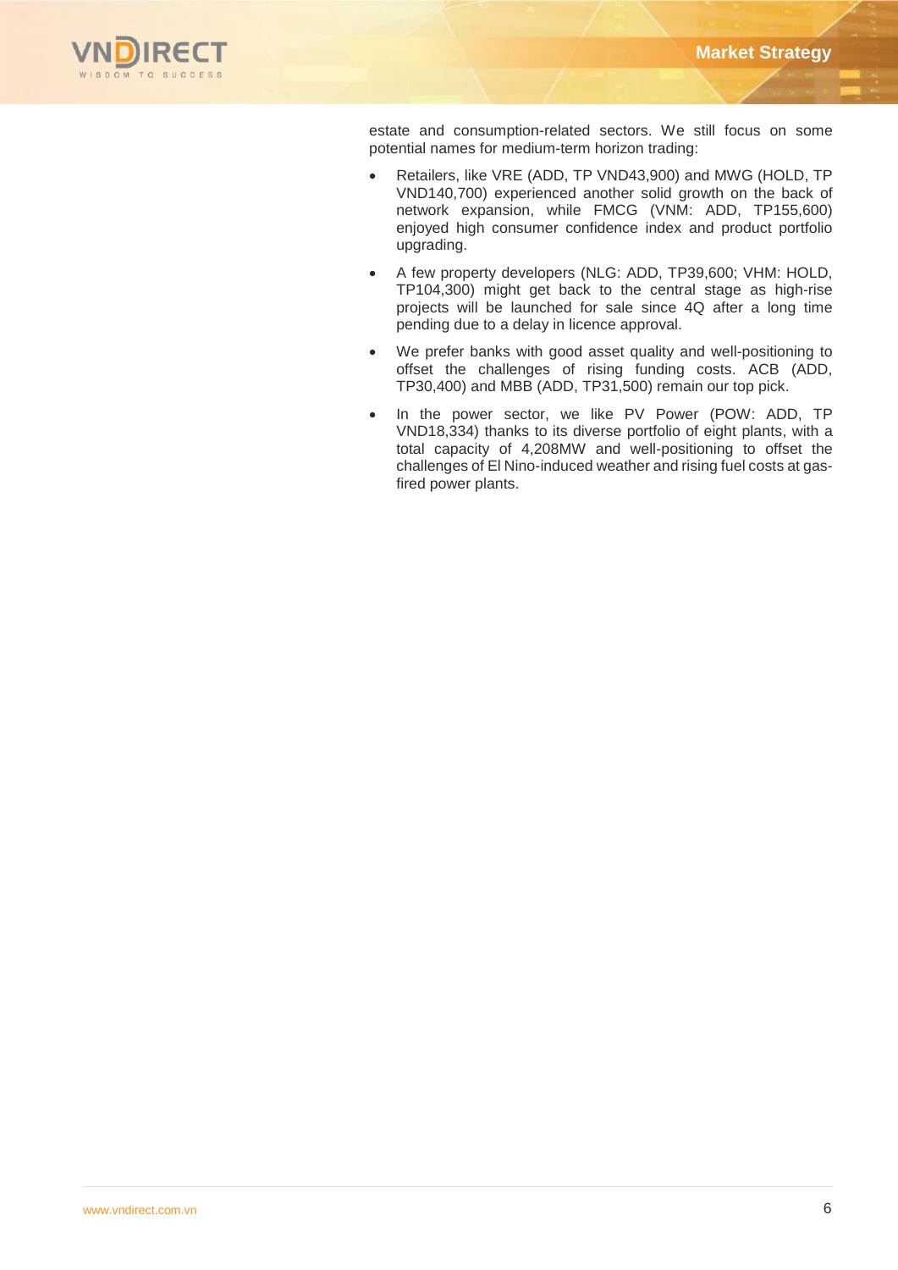

estate and consumption-related sectors. We still focus on some potential names for medium-term horizon trading:

- Retailers, like VRE (ADD, TP VND43,900) and MWG (HOLD, TP VND140,700) experienced another solid growth on the back of network expansion, while FMCG (VNM: ADD, TP155,600) enjoyed high consumer confidence index and product portfolio upgrading.
- A few property developers (NLG: ADD, TP39,600; VHM: HOLD, TP104,300) might get back to the central stage as high-rise projects will be launched for sale since 4Q after a long time pending due to a delay in licence approval.
- We prefer banks with good asset quality and well-positioning to offset the challenges of rising funding costs. ACB (ADD, TP30,400) and MBB (ADD, TP31,500) remain our top pick.
- In the power sector, we like PV Power (POW: ADD, TP VND18,334) thanks to its diverse portfolio of eight plants, with a total capacity of 4,208MW and well-positioning to offset the challenges of El Nino-induced weather and rising fuel costs at gasfired power plants.